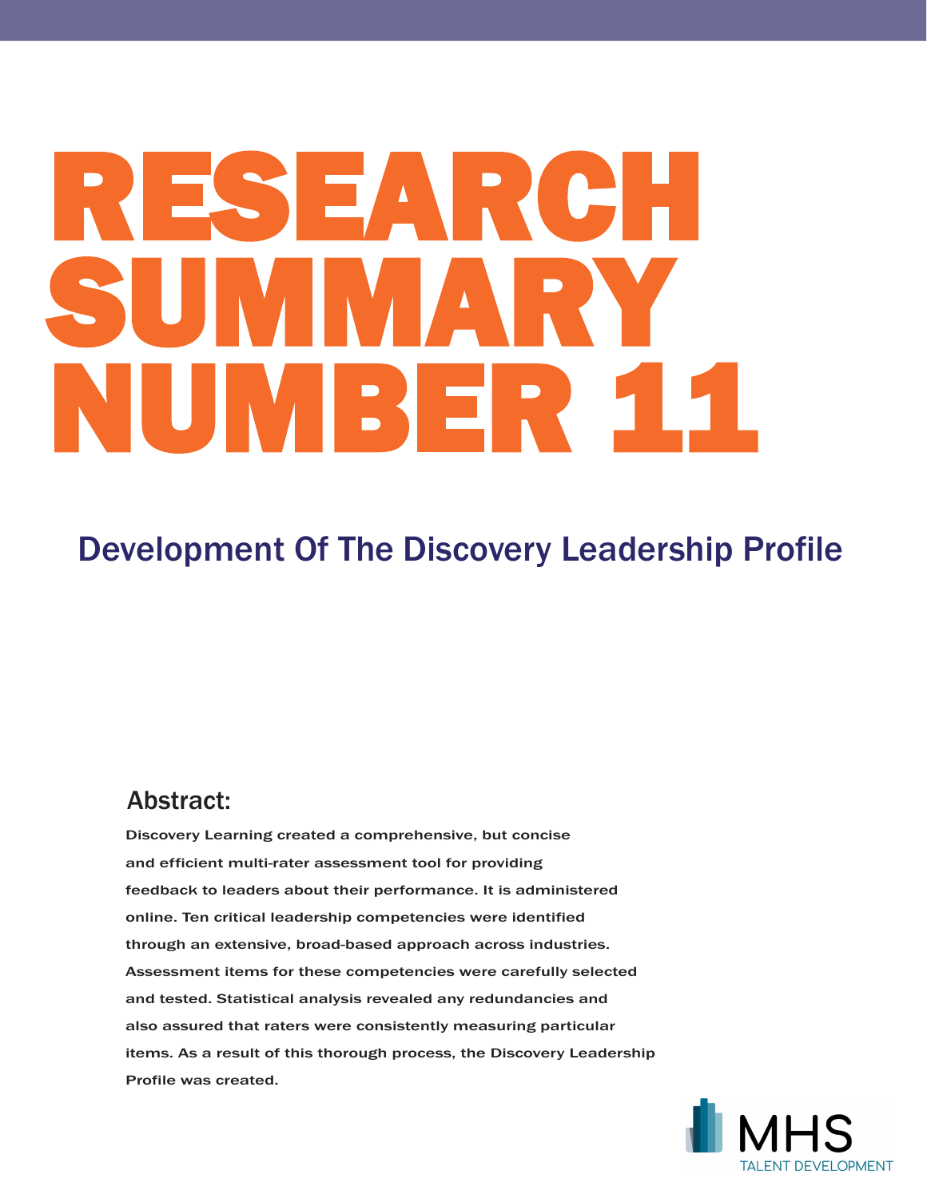# RESEARCH SUMMARY NUMBER 11

# Development Of The Discovery Leadership Profile

## Abstract:

Discovery Learning created a comprehensive, but concise and efficient multi-rater assessment tool for providing feedback to leaders about their performance. It is administered online. Ten critical leadership competencies were identified through an extensive, broad-based approach across industries. Assessment items for these competencies were carefully selected and tested. Statistical analysis revealed any redundancies and also assured that raters were consistently measuring particular items. As a result of this thorough process, the Discovery Leadership Profile was created.

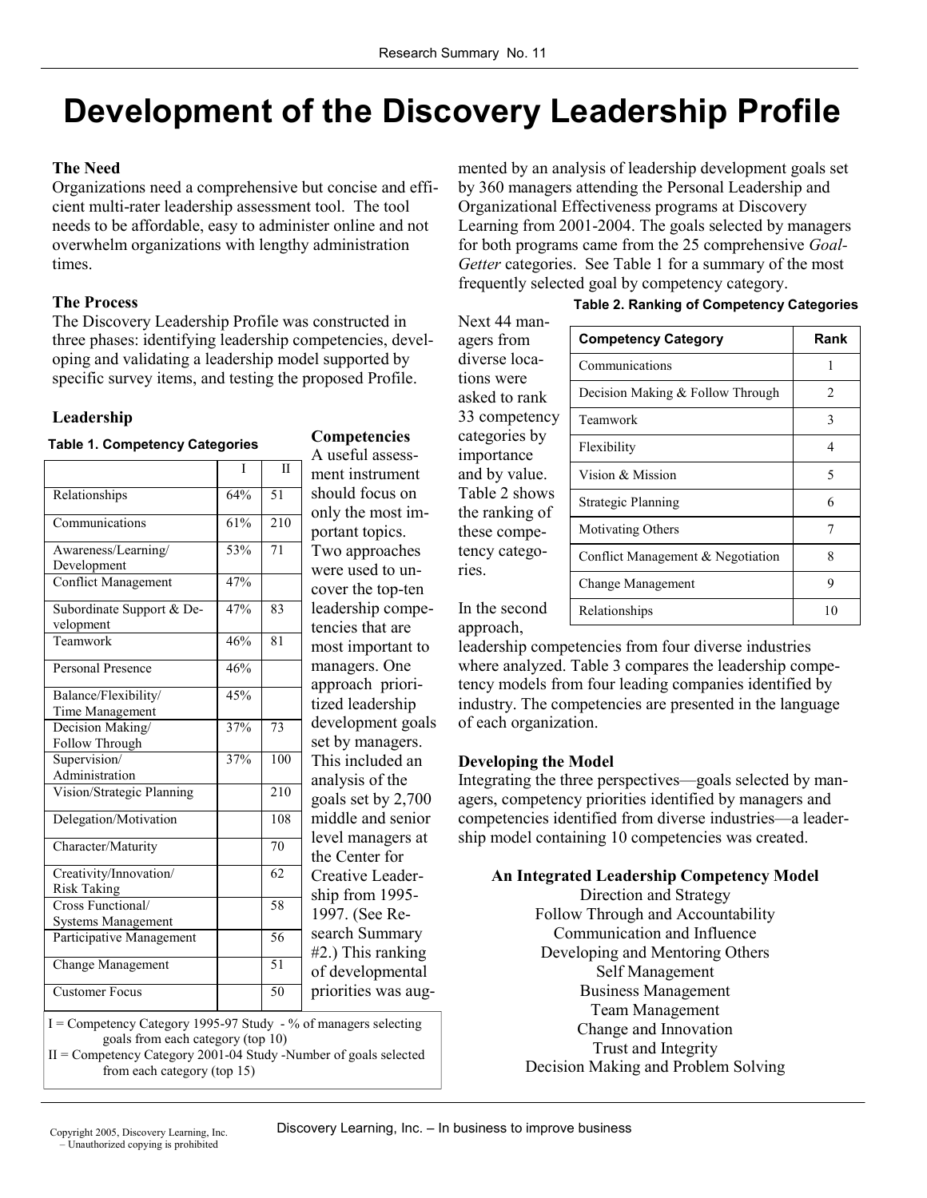# **Development of the Discovery Leadership Profile**

#### **The Need**

Organizations need a comprehensive but concise and efficient multi-rater leadership assessment tool. The tool needs to be affordable, easy to administer online and not overwhelm organizations with lengthy administration times.

#### **The Process**

The Discovery Leadership Profile was constructed in three phases: identifying leadership competencies, developing and validating a leadership model supported by specific survey items, and testing the proposed Profile.

#### **Leadership**

#### **Table 1. Competency Categories**

|                                                | I   | $\mathbf{H}$    | mei         |
|------------------------------------------------|-----|-----------------|-------------|
| Relationships                                  | 64% | $\overline{51}$ | sho         |
| Communications                                 | 61% | 210             | onl<br>por  |
| Awareness/Learning/                            | 53% | 71              | Tw          |
| Development<br><b>Conflict Management</b>      | 47% |                 | wer         |
|                                                |     |                 | cov         |
| Subordinate Support & De-<br>velopment         | 47% | 83              | leao<br>ten |
| Teamwork                                       | 46% | 81              | mo:         |
| <b>Personal Presence</b>                       | 46% |                 | mai         |
| Balance/Flexibility/                           | 45% |                 | app<br>tize |
| Time Management                                |     |                 |             |
| Decision Making/                               | 37% | 73              | dev         |
| Follow Through                                 |     |                 | set         |
| Supervision/                                   | 37% | 100             | Thi         |
| Administration                                 |     |                 | ana         |
| Vision/Strategic Planning                      |     | 210             | goa         |
| Delegation/Motivation                          |     | 108             | mid         |
| Character/Maturity                             |     | 70              | leve<br>the |
| Creativity/Innovation/<br>Risk Taking          |     | 62              | Cre         |
| Cross Functional/<br><b>Systems Management</b> |     | 58              | ship<br>199 |
| Participative Management                       |     | 56              | sea<br>#2.) |
| <b>Change Management</b>                       |     | 51              | of c        |
| <b>Customer Focus</b>                          |     | 50              | prio        |
|                                                |     |                 |             |

**Competencies**  A useful assessnt instrument uld focus on y the most imtant topics. o approaches e used to uner the top-ten dership compecies that are st important to nagers. One proach priorid leadership elopment goals by managers. s included an lysis of the  $ls$  set by  $2,700$ dle and senior el managers at Center for ative Leaderp from 1995-7. (See Rerch Summary ) This ranking developmental prities was aug-

I = Competency Category 1995-97 Study - % of managers selecting goals from each category (top 10)

II = Competency Category 2001-04 Study -Number of goals selected from each category (top 15)

mented by an analysis of leadership development goals set by 360 managers attending the Personal Leadership and Organizational Effectiveness programs at Discovery Learning from 2001-2004. The goals selected by managers for both programs came from the 25 comprehensive *Goal-Getter* categories. See Table 1 for a summary of the most frequently selected goal by competency category.

#### **Table 2. Ranking of Competency Categories**

| туслі 44 шап-  |
|----------------|
| agers from     |
| diverse loca-  |
| tions were     |
| asked to rank  |
| 33 competency  |
| categories by  |
| importance     |
| and by value.  |
| Table 2 shows  |
| the ranking of |
| these compe-   |
| tency catego-  |
| ries.          |
|                |
| In the second  |

approach,

 $N_{\text{out}}$  44 man

| <b>Competency Category</b>        | Rank           |
|-----------------------------------|----------------|
| Communications                    | 1              |
| Decision Making & Follow Through  | $\mathfrak{D}$ |
| Teamwork                          | 3              |
| Flexibility                       | 4              |
| Vision & Mission                  | 5              |
| <b>Strategic Planning</b>         | 6              |
| Motivating Others                 | 7              |
| Conflict Management & Negotiation | 8              |
| Change Management                 | 9              |
| Relationships                     | 10             |

leadership competencies from four diverse industries where analyzed. Table 3 compares the leadership competency models from four leading companies identified by industry. The competencies are presented in the language of each organization.

#### **Developing the Model**

Integrating the three perspectives—goals selected by managers, competency priorities identified by managers and competencies identified from diverse industries—a leadership model containing 10 competencies was created.

#### **An Integrated Leadership Competency Model**

Direction and Strategy Follow Through and Accountability Communication and Influence Developing and Mentoring Others Self Management Business Management Team Management Change and Innovation Trust and Integrity Decision Making and Problem Solving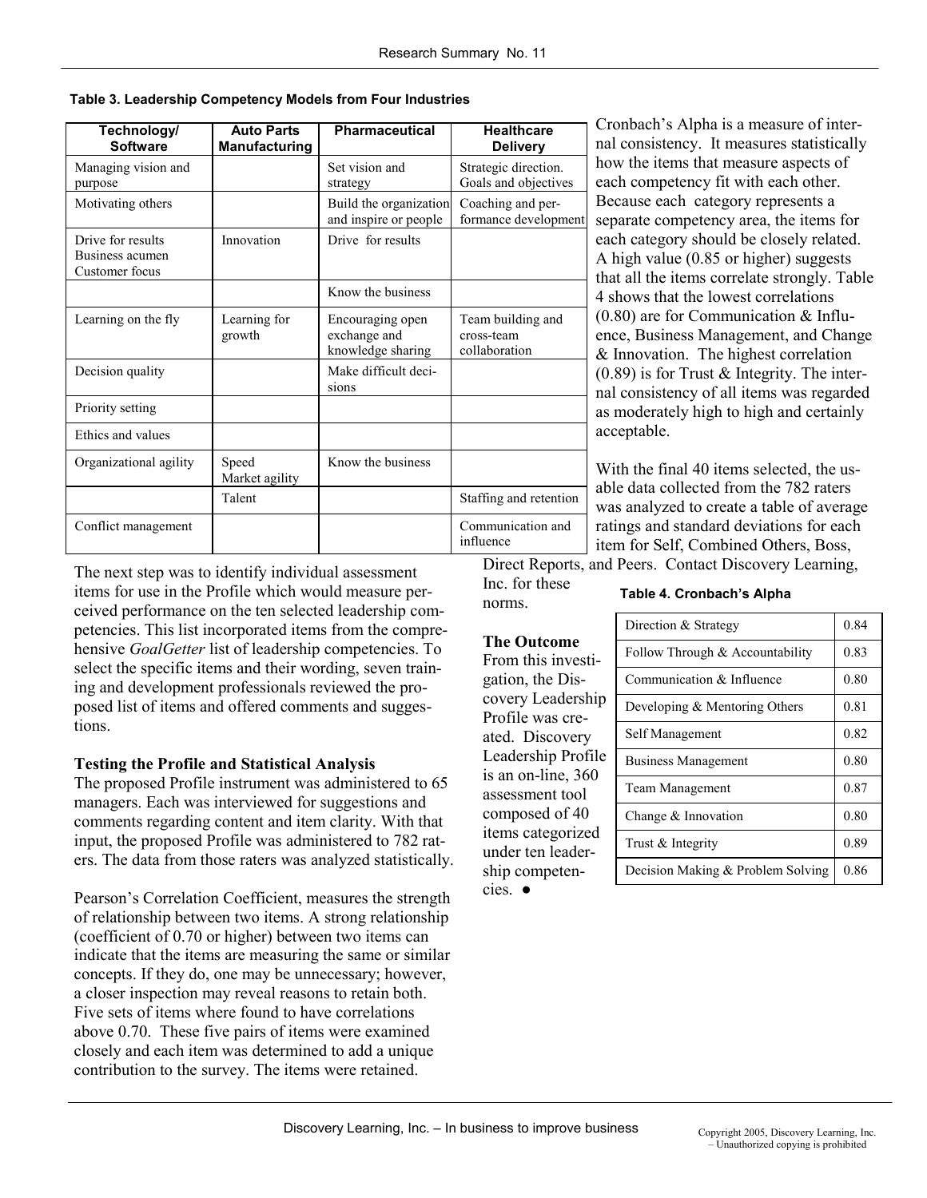**Table 3. Leadership Competency Models from Four Industries** 

| Technology/<br><b>Software</b>                         | <b>Auto Parts</b><br><b>Manufacturing</b> | <b>Pharmaceutical</b>                                 | <b>Healthcare</b><br><b>Delivery</b>             |
|--------------------------------------------------------|-------------------------------------------|-------------------------------------------------------|--------------------------------------------------|
| Managing vision and<br>purpose                         |                                           | Set vision and<br>strategy                            | Strategic direction.<br>Goals and objectives     |
| Motivating others                                      |                                           | Build the organization<br>and inspire or people       | Coaching and per-<br>formance development        |
| Drive for results<br>Business acumen<br>Customer focus | Innovation                                | Drive for results                                     |                                                  |
|                                                        |                                           | Know the business                                     |                                                  |
| Learning on the fly                                    | Learning for<br>growth                    | Encouraging open<br>exchange and<br>knowledge sharing | Team building and<br>cross-team<br>collaboration |
| Decision quality                                       |                                           | Make difficult deci-<br>sions                         |                                                  |
| Priority setting                                       |                                           |                                                       |                                                  |
| Ethics and values                                      |                                           |                                                       |                                                  |
| Organizational agility                                 | Speed<br>Market agility                   | Know the business                                     |                                                  |
|                                                        | Talent                                    |                                                       | Staffing and retention                           |
| Conflict management                                    |                                           |                                                       | Communication and<br>influence                   |

Cronbach's Alpha is a measure of internal consistency. It measures statistically how the items that measure aspects of each competency fit with each other. Because each category represents a separate competency area, the items for each category should be closely related. A high value (0.85 or higher) suggests that all the items correlate strongly. Table 4 shows that the lowest correlations (0.80) are for Communication & Influence, Business Management, and Change & Innovation. The highest correlation  $(0.89)$  is for Trust & Integrity. The internal consistency of all items was regarded as moderately high to high and certainly acceptable.

With the final 40 items selected, the usable data collected from the 782 raters was analyzed to create a table of average ratings and standard deviations for each item for Self, Combined Others, Boss, Direct Reports, and Peers. Contact Discovery Learning,

The next step was to identify individual assessment items for use in the Profile which would measure perceived performance on the ten selected leadership competencies. This list incorporated items from the comprehensive *GoalGetter* list of leadership competencies. To select the specific items and their wording, seven training and development professionals reviewed the proposed list of items and offered comments and suggestions.

#### **Testing the Profile and Statistical Analysis**

The proposed Profile instrument was administered to 65 managers. Each was interviewed for suggestions and comments regarding content and item clarity. With that input, the proposed Profile was administered to 782 raters. The data from those raters was analyzed statistically.

Pearson's Correlation Coefficient, measures the strength of relationship between two items. A strong relationship (coefficient of 0.70 or higher) between two items can indicate that the items are measuring the same or similar concepts. If they do, one may be unnecessary; however, a closer inspection may reveal reasons to retain both. Five sets of items where found to have correlations above 0.70. These five pairs of items were examined closely and each item was determined to add a unique contribution to the survey. The items were retained.

Inc. for these norms.

#### **Table 4. Cronbach's Alpha**

# **The Outcome**

From this investigation, the Discovery Leadership Profile was created. Discovery Leadership Profile is an on-line, 360 assessment tool composed of 40 items categorized under ten leadership competencies. ●

| Direction & Strategy              | 0.84 |
|-----------------------------------|------|
| Follow Through & Accountability   | 0.83 |
| Communication & Influence         | 0.80 |
| Developing & Mentoring Others     | 0.81 |
| Self Management                   | 0.82 |
| <b>Business Management</b>        | 0.80 |
| <b>Team Management</b>            | 0.87 |
| Change & Innovation               | 0.80 |
| Trust & Integrity                 | 0.89 |
| Decision Making & Problem Solving | 0.86 |